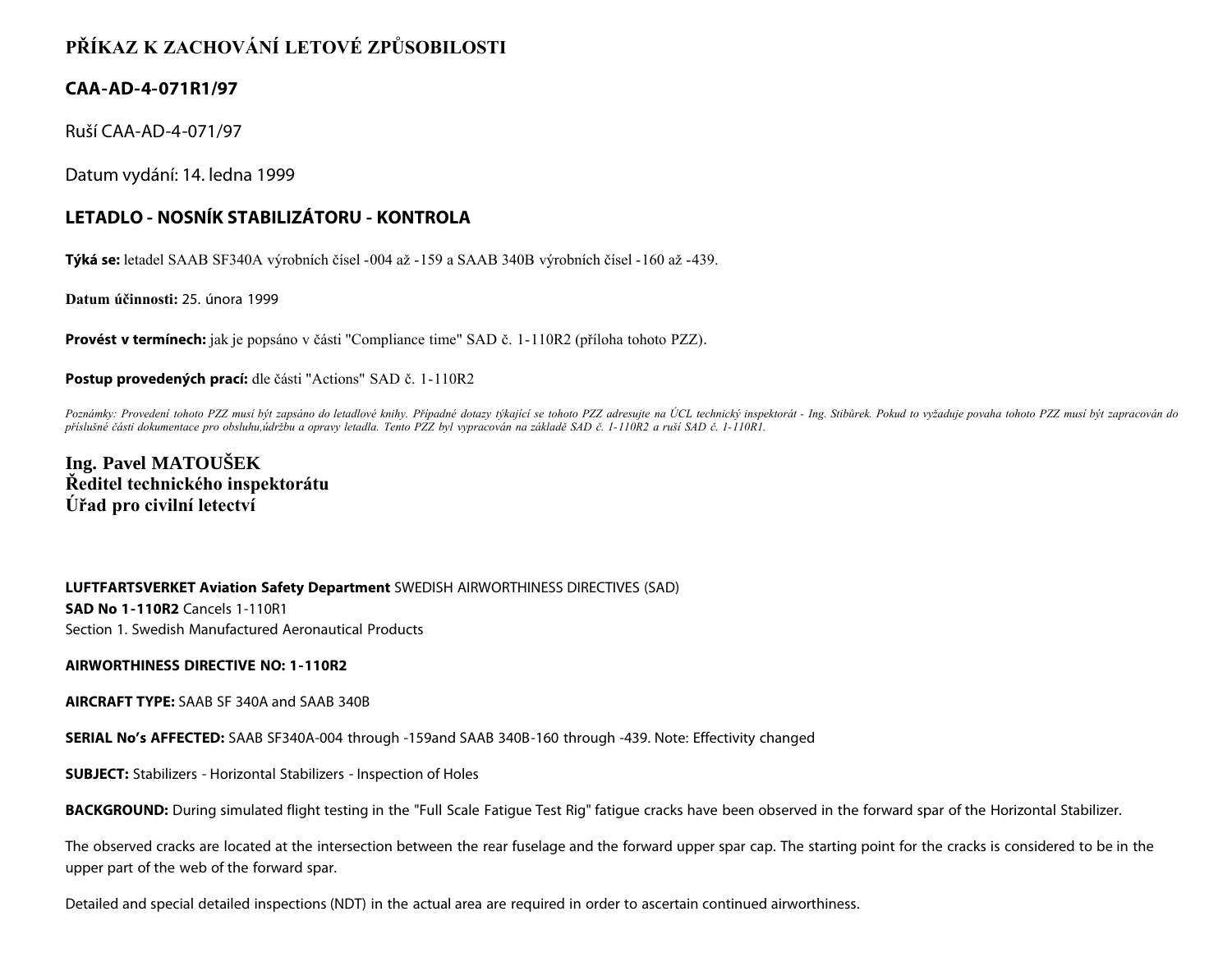# **PŘÍKAZ K ZACHOVÁNÍ LETOVÉ ZPŮSOBILOSTI**

### **CAA-AD-4-071R1/97**

Ruší CAA-AD-4-071/97

Datum vydání: 14. ledna 1999

## **LETADLO - NOSNÍK STABILIZÁTORU - KONTROLA**

**Týká se:** letadel SAAB SF340A výrobních čísel -004 až -159 a SAAB 340B výrobních čísel -160 až -439.

**Datum účinnosti:** 25. února 1999

**Provést v termínech:** jak je popsáno v části "Compliance time" SAD č. 1-110R2 (příloha tohoto PZZ).

**Postup provedených prací:** dle části "Actions" SAD č. 1-110R2

Poznámky: Provedení tohoto PZZ musí být zapsáno do letadlové knihy. Případné dotazy týkající se tohoto PZZ adresujte na ÚCL technický inspektorát - Ing. Stibůrek. Pokud to vyžaduje povaha tohoto PZZ musí být zapracován do *příslušné části dokumentace pro obsluhu,údržbu a opravy letadla. Tento PZZ byl vypracován na základě SAD č. 1-110R2 a ruší SAD č. 1-110R1.*

**Ing. Pavel MATOUŠEK Ředitel technického inspektorátu Úřad pro civilní letectví**

**LUFTFARTSVERKET Aviation Safety Department** SWEDISH AIRWORTHINESS DIRECTIVES (SAD) **SAD No 1-110R2** Cancels 1-110R1 Section 1. Swedish Manufactured Aeronautical Products

#### **AIRWORTHINESS DIRECTIVE NO: 1-110R2**

**AIRCRAFT TYPE:** SAAB SF 340A and SAAB 340B

**SERIAL No's AFFECTED:** SAAB SF340A-004 through -159and SAAB 340B-160 through -439. Note: Effectivity changed

**SUBJECT:** Stabilizers - Horizontal Stabilizers - Inspection of Holes

**BACKGROUND:** During simulated flight testing in the "Full Scale Fatigue Test Rig" fatigue cracks have been observed in the forward spar of the Horizontal Stabilizer.

The observed cracks are located at the intersection between the rear fuselage and the forward upper spar cap. The starting point for the cracks is considered to be in the upper part of the web of the forward spar.

Detailed and special detailed inspections (NDT) in the actual area are required in order to ascertain continued airworthiness.